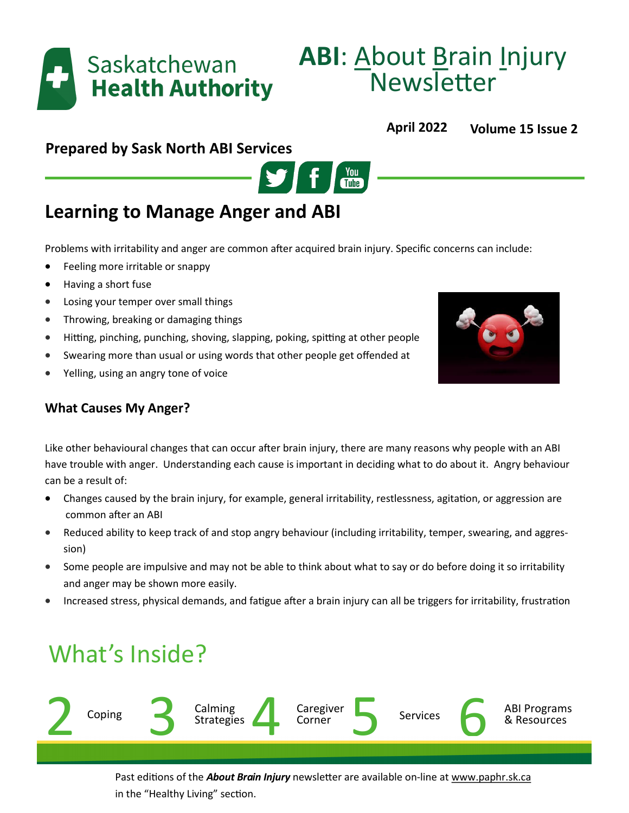

# **ABI**: About Brain Injury Newsletter

# **April 2022 Volume 15 Issue 2**

# **Prepared by Sask North ABI Services**



# **Learning to Manage Anger and ABI**

Problems with irritability and anger are common after acquired brain injury. Specific concerns can include:

- Feeling more irritable or snappy
- Having a short fuse
- Losing your temper over small things
- Throwing, breaking or damaging things
- Hitting, pinching, punching, shoving, slapping, poking, spitting at other people
- Swearing more than usual or using words that other people get offended at
- Yelling, using an angry tone of voice

# **What Causes My Anger?**

Like other behavioural changes that can occur after brain injury, there are many reasons why people with an ABI have trouble with anger. Understanding each cause is important in deciding what to do about it. Angry behaviour can be a result of:

- Changes caused by the brain injury, for example, general irritability, restlessness, agitation, or aggression are common after an ABI
- Reduced ability to keep track of and stop angry behaviour (including irritability, temper, swearing, and aggression)
- Some people are impulsive and may not be able to think about what to say or do before doing it so irritability and anger may be shown more easily.
- Increased stress, physical demands, and fatigue after a brain injury can all be triggers for irritability, frustration

# What's Inside?



Past editions of the *About Brain Injury* newsletter are available on-line at www.paphr.sk.ca in the "Healthy Living" section.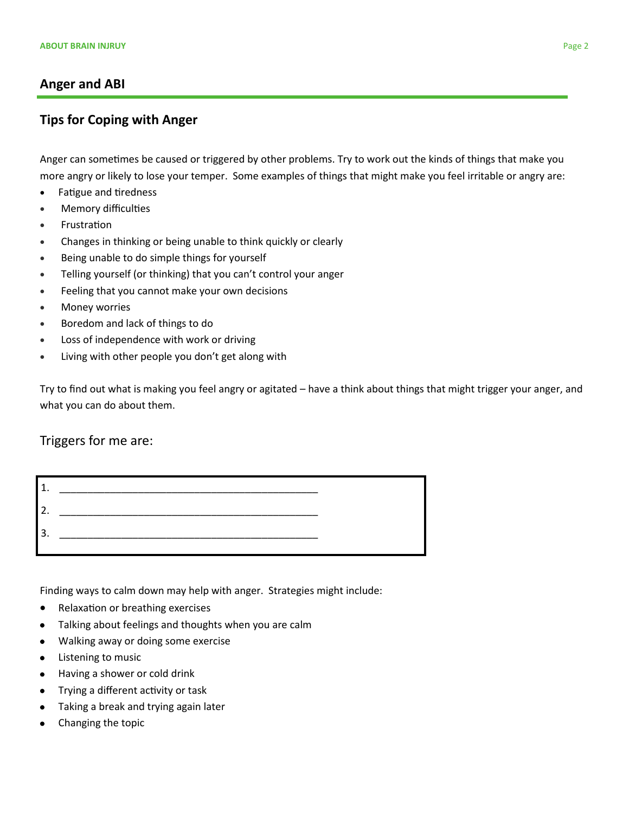#### **Anger and ABI**

### **Tips for Coping with Anger**

Anger can sometimes be caused or triggered by other problems. Try to work out the kinds of things that make you more angry or likely to lose your temper. Some examples of things that might make you feel irritable or angry are:

- Fatigue and tiredness
- Memory difficulties
- Frustration
- Changes in thinking or being unable to think quickly or clearly
- Being unable to do simple things for yourself
- Telling yourself (or thinking) that you can't control your anger
- Feeling that you cannot make your own decisions
- Money worries
- Boredom and lack of things to do
- Loss of independence with work or driving
- Living with other people you don't get along with

Try to find out what is making you feel angry or agitated – have a think about things that might trigger your anger, and what you can do about them.

#### Triggers for me are:



Finding ways to calm down may help with anger. Strategies might include:

- Relaxation or breathing exercises
- Talking about feelings and thoughts when you are calm  $\bullet$
- Walking away or doing some exercise  $\bullet$
- Listening to music  $\bullet$
- Having a shower or cold drink  $\bullet$
- Trying a different activity or task
- Taking a break and trying again later
- Changing the topic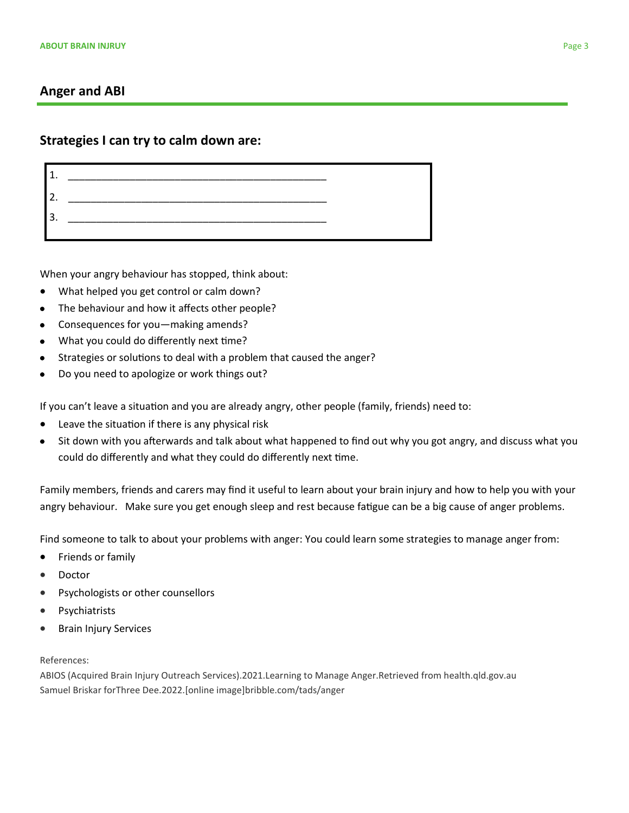#### **Anger and ABI**

#### **Strategies I can try to calm down are:**

When your angry behaviour has stopped, think about:

- What helped you get control or calm down?
- The behaviour and how it affects other people?  $\bullet$
- Consequences for you—making amends?
- What you could do differently next time?
- Strategies or solutions to deal with a problem that caused the anger?
- Do you need to apologize or work things out?

If you can't leave a situation and you are already angry, other people (family, friends) need to:

- Leave the situation if there is any physical risk
- Sit down with you afterwards and talk about what happened to find out why you got angry, and discuss what you  $\bullet$ could do differently and what they could do differently next time.

Family members, friends and carers may find it useful to learn about your brain injury and how to help you with your angry behaviour. Make sure you get enough sleep and rest because fatigue can be a big cause of anger problems.

Find someone to talk to about your problems with anger: You could learn some strategies to manage anger from:

- **•** Friends or family
- Doctor
- Psychologists or other counsellors
- Psychiatrists
- **•** Brain Injury Services

#### References:

ABIOS (Acquired Brain Injury Outreach Services).2021.Learning to Manage Anger.Retrieved from health.qld.gov.au Samuel Briskar forThree Dee.2022.[online image]bribble.com/tads/anger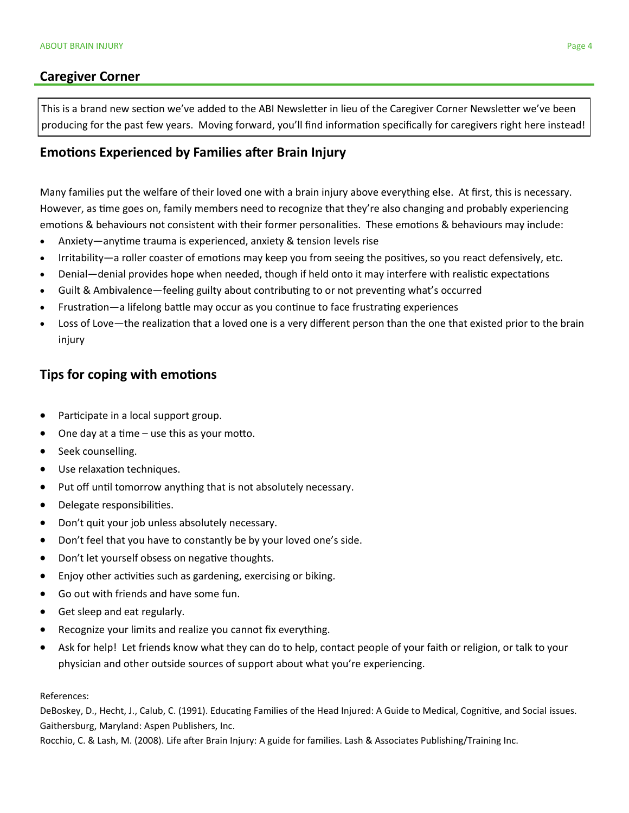#### **Caregiver Corner**

This is a brand new section we've added to the ABI Newsletter in lieu of the Caregiver Corner Newsletter we've been producing for the past few years. Moving forward, you'll find information specifically for caregivers right here instead!

#### **Emotions Experienced by Families after Brain Injury**

Many families put the welfare of their loved one with a brain injury above everything else. At first, this is necessary. However, as time goes on, family members need to recognize that they're also changing and probably experiencing emotions & behaviours not consistent with their former personalities. These emotions & behaviours may include:

- Anxiety—anytime trauma is experienced, anxiety & tension levels rise
- Irritability—a roller coaster of emotions may keep you from seeing the positives, so you react defensively, etc.
- Denial—denial provides hope when needed, though if held onto it may interfere with realistic expectations
- Guilt & Ambivalence—feeling guilty about contributing to or not preventing what's occurred
- Frustration—a lifelong battle may occur as you continue to face frustrating experiences
- Loss of Love—the realization that a loved one is a very different person than the one that existed prior to the brain injury

### **Tips for coping with emotions**

- Participate in a local support group.
- One day at a time use this as your motto.
- Seek counselling.
- Use relaxation techniques.
- Put off until tomorrow anything that is not absolutely necessary.
- Delegate responsibilities.
- Don't quit your job unless absolutely necessary.
- Don't feel that you have to constantly be by your loved one's side.
- Don't let yourself obsess on negative thoughts.
- Enjoy other activities such as gardening, exercising or biking.
- Go out with friends and have some fun.
- **Get sleep and eat regularly.**
- Recognize your limits and realize you cannot fix everything.
- Ask for help! Let friends know what they can do to help, contact people of your faith or religion, or talk to your physician and other outside sources of support about what you're experiencing.

#### References:

DeBoskey, D., Hecht, J., Calub, C. (1991). Educating Families of the Head Injured: A Guide to Medical, Cognitive, and Social issues. Gaithersburg, Maryland: Aspen Publishers, Inc.

Rocchio, C. & Lash, M. (2008). Life after Brain Injury: A guide for families. Lash & Associates Publishing/Training Inc.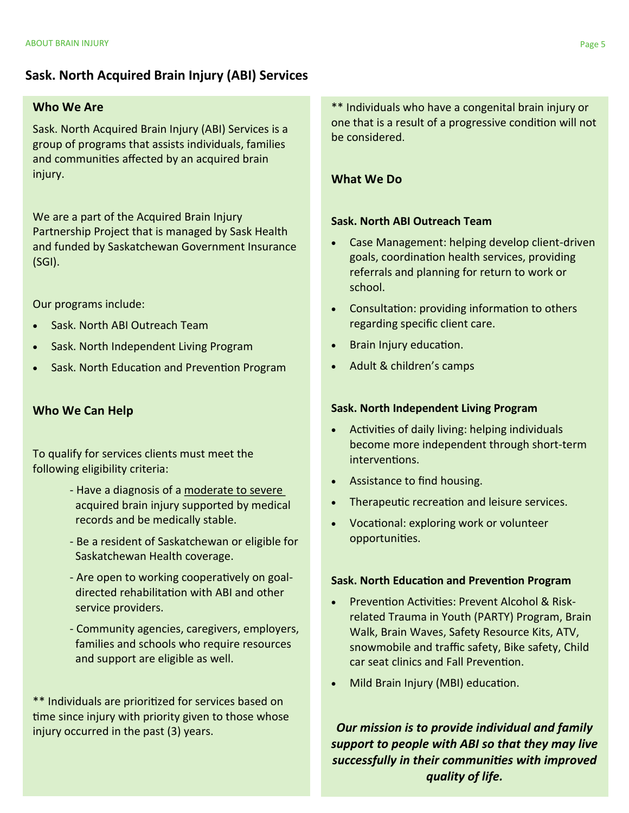## **Sask. North Acquired Brain Injury (ABI) Services**

#### **Who We Are**

Sask. North Acquired Brain Injury (ABI) Services is a group of programs that assists individuals, families and communities affected by an acquired brain injury.

We are a part of the Acquired Brain Injury Partnership Project that is managed by Sask Health and funded by Saskatchewan Government Insurance (SGI).

Our programs include:

- Sask. North ABI Outreach Team
- Sask. North Independent Living Program
- Sask. North Education and Prevention Program

#### **Who We Can Help**

To qualify for services clients must meet the following eligibility criteria:

- Have a diagnosis of a moderate to severe acquired brain injury supported by medical records and be medically stable.
- Be a resident of Saskatchewan or eligible for Saskatchewan Health coverage.
- Are open to working cooperatively on goal directed rehabilitation with ABI and other service providers.
- Community agencies, caregivers, employers, families and schools who require resources and support are eligible as well.

\*\* Individuals are prioritized for services based on time since injury with priority given to those whose injury occurred in the past (3) years.

\*\* Individuals who have a congenital brain injury or one that is a result of a progressive condition will not be considered.

#### **What We Do**

#### **Sask. North ABI Outreach Team**

- Case Management: helping develop client-driven goals, coordination health services, providing referrals and planning for return to work or school.
- Consultation: providing information to others regarding specific client care.
- Brain Injury education.
- Adult & children's camps

#### **Sask. North Independent Living Program**

- Activities of daily living: helping individuals become more independent through short-term interventions.
- Assistance to find housing.
- Therapeutic recreation and leisure services.
- Vocational: exploring work or volunteer opportunities.

#### **Sask. North Education and Prevention Program**

- Prevention Activities: Prevent Alcohol & Riskrelated Trauma in Youth (PARTY) Program, Brain Walk, Brain Waves, Safety Resource Kits, ATV, snowmobile and traffic safety, Bike safety, Child car seat clinics and Fall Prevention.
- Mild Brain Injury (MBI) education.

*Our mission is to provide individual and family support to people with ABI so that they may live successfully in their communities with improved quality of life.*